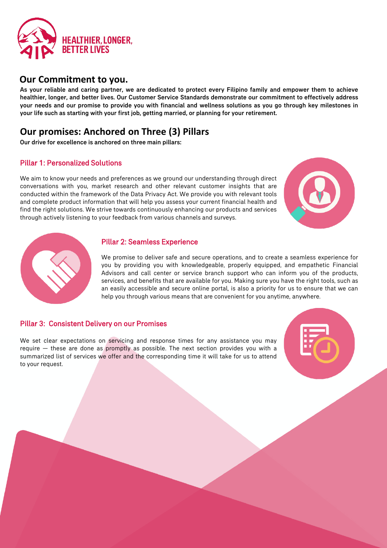

### **Our Commitment to you.**

As your reliable and caring partner, we are dedicated to protect every Filipino family and empower them to achieve healthier, longer, and better lives. Our Customer Service Standards demonstrate our commitment to effectively address your needs and our promise to provide you with financial and wellness solutions as you go through key milestones in your life such as starting with your first job, getting married, or planning for your retirement.

## **Our promises: Anchored on Three (3) Pillars**

Our drive for excellence is anchored on three main pillars:

#### Pillar 1: Personalized Solutions

We aim to know your needs and preferences as we ground our understanding through direct conversations with you, market research and other relevant customer insights that are conducted within the framework of the Data Privacy Act. We provide you with relevant tools and complete product information that will help you assess your current financial health and find the right solutions. We strive towards continuously enhancing our products and services through actively listening to your feedback from various channels and surveys.





#### Pillar 2: Seamless Experience

We promise to deliver safe and secure operations, and to create a seamless experience for you by providing you with knowledgeable, properly equipped, and empathetic Financial Advisors and call center or service branch support who can inform you of the products, services, and benefits that are available for you. Making sure you have the right tools, such as an easily accessible and secure online portal, is also a priority for us to ensure that we can help you through various means that are convenient for you anytime, anywhere.

#### Pillar 3: Consistent Delivery on our Promises

We set clear expectations on servicing and response times for any assistance you may require — these are done as promptly as possible. The next section provides you with a summarized list of services we offer and the corresponding time it will take for us to attend to your request.

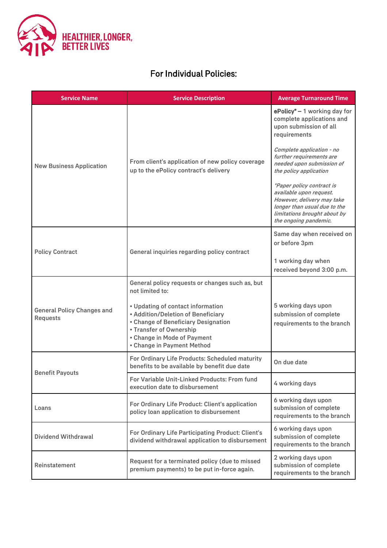

### For Individual Policies:

| <b>Service Name</b>                                  | <b>Service Description</b>                                                                                                                                                                             | <b>Average Turnaround Time</b>                                                                                                                                              |
|------------------------------------------------------|--------------------------------------------------------------------------------------------------------------------------------------------------------------------------------------------------------|-----------------------------------------------------------------------------------------------------------------------------------------------------------------------------|
| <b>New Business Application</b>                      | From client's application of new policy coverage<br>up to the ePolicy contract's delivery                                                                                                              | $e$ Policy* $-1$ working day for<br>complete applications and<br>upon submission of all<br>requirements                                                                     |
|                                                      |                                                                                                                                                                                                        | Complete application - no<br>further requirements are<br>needed upon submission of<br>the policy application                                                                |
|                                                      |                                                                                                                                                                                                        | *Paper policy contract is<br>available upon request.<br>However, delivery may take<br>longer than usual due to the<br>limitations brought about by<br>the ongoing pandemic. |
| <b>Policy Contract</b>                               | General inquiries regarding policy contract                                                                                                                                                            | Same day when received on<br>or before 3pm                                                                                                                                  |
|                                                      |                                                                                                                                                                                                        | 1 working day when<br>received beyond 3:00 p.m.                                                                                                                             |
| <b>General Policy Changes and</b><br><b>Requests</b> | General policy requests or changes such as, but<br>not limited to:                                                                                                                                     |                                                                                                                                                                             |
|                                                      | • Updating of contact information<br>• Addition/Deletion of Beneficiary<br>• Change of Beneficiary Designation<br>• Transfer of Ownership<br>• Change in Mode of Payment<br>• Change in Payment Method | 5 working days upon<br>submission of complete<br>requirements to the branch                                                                                                 |
| <b>Benefit Payouts</b>                               | For Ordinary Life Products: Scheduled maturity<br>benefits to be available by benefit due date                                                                                                         | On due date                                                                                                                                                                 |
|                                                      | For Variable Unit-Linked Products: From fund<br>execution date to disbursement                                                                                                                         | 4 working days                                                                                                                                                              |
| Loans                                                | For Ordinary Life Product: Client's application<br>policy loan application to disbursement                                                                                                             | 6 working days upon<br>submission of complete<br>requirements to the branch                                                                                                 |
| <b>Dividend Withdrawal</b>                           | For Ordinary Life Participating Product: Client's<br>dividend withdrawal application to disbursement                                                                                                   | 6 working days upon<br>submission of complete<br>requirements to the branch                                                                                                 |
| Reinstatement                                        | Request for a terminated policy (due to missed<br>premium payments) to be put in-force again.                                                                                                          | 2 working days upon<br>submission of complete<br>requirements to the branch                                                                                                 |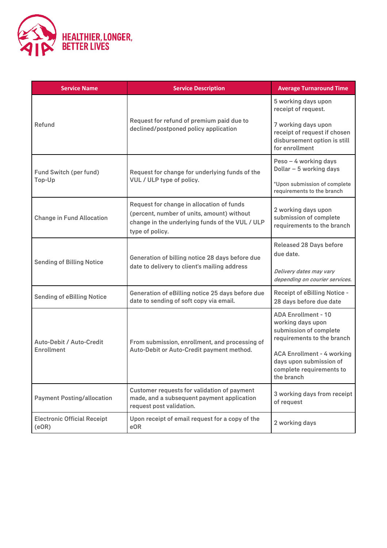

| <b>Service Name</b>                           | <b>Service Description</b>                                                                                                                                    | <b>Average Turnaround Time</b>                                                                                                                                                                                    |
|-----------------------------------------------|---------------------------------------------------------------------------------------------------------------------------------------------------------------|-------------------------------------------------------------------------------------------------------------------------------------------------------------------------------------------------------------------|
| Refund                                        | Request for refund of premium paid due to<br>declined/postponed policy application                                                                            | 5 working days upon<br>receipt of request.<br>7 working days upon<br>receipt of request if chosen<br>disbursement option is still<br>for enrollment                                                               |
| <b>Fund Switch (per fund)</b><br>Top-Up       | Request for change for underlying funds of the<br>VUL / ULP type of policy.                                                                                   | Peso - 4 working days<br>Dollar - 5 working days<br>*Upon submission of complete<br>requirements to the branch                                                                                                    |
| <b>Change in Fund Allocation</b>              | Request for change in allocation of funds<br>(percent, number of units, amount) without<br>change in the underlying funds of the VUL / ULP<br>type of policy. | 2 working days upon<br>submission of complete<br>requirements to the branch                                                                                                                                       |
| <b>Sending of Billing Notice</b>              | Generation of billing notice 28 days before due<br>date to delivery to client's mailing address                                                               | <b>Released 28 Days before</b><br>due date.<br>Delivery dates may vary<br>depending on courier services.                                                                                                          |
| <b>Sending of eBilling Notice</b>             | Generation of eBilling notice 25 days before due<br>date to sending of soft copy via email.                                                                   | <b>Receipt of eBilling Notice -</b><br>28 days before due date                                                                                                                                                    |
| Auto-Debit / Auto-Credit<br><b>Enrollment</b> | From submission, enrollment, and processing of<br>Auto-Debit or Auto-Credit payment method.                                                                   | <b>ADA Enrollment - 10</b><br>working days upon<br>submission of complete<br>requirements to the branch<br><b>ACA Enrollment - 4 working</b><br>days upon submission of<br>complete requirements to<br>the branch |
| <b>Payment Posting/allocation</b>             | Customer requests for validation of payment<br>made, and a subsequent payment application<br>request post validation.                                         | 3 working days from receipt<br>of request                                                                                                                                                                         |
| <b>Electronic Official Receipt</b><br>(eOR)   | Upon receipt of email request for a copy of the<br>eOR                                                                                                        | 2 working days                                                                                                                                                                                                    |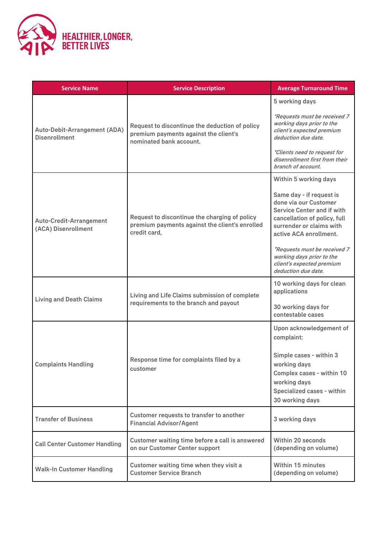

| <b>Service Name</b>                                  | <b>Service Description</b>                                                                                         | <b>Average Turnaround Time</b>                                                                                                                                        |
|------------------------------------------------------|--------------------------------------------------------------------------------------------------------------------|-----------------------------------------------------------------------------------------------------------------------------------------------------------------------|
|                                                      |                                                                                                                    | 5 working days                                                                                                                                                        |
| Auto-Debit-Arrangement (ADA)<br><b>Disenrollment</b> | Request to discontinue the deduction of policy<br>premium payments against the client's<br>nominated bank account. | *Requests must be received 7<br>working days prior to the<br>client's expected premium<br>deduction due date.                                                         |
|                                                      |                                                                                                                    | *Clients need to request for<br>disenrollment first from their<br>branch of account.                                                                                  |
|                                                      |                                                                                                                    | Within 5 working days                                                                                                                                                 |
| Auto-Credit-Arrangement<br>(ACA) Disenrollment       | Request to discontinue the charging of policy<br>premium payments against the client's enrolled<br>credit card,    | Same day - if request is<br>done via our Customer<br>Service Center and if with<br>cancellation of policy, full<br>surrender or claims with<br>active ACA enrollment. |
|                                                      |                                                                                                                    | *Requests must be received 7<br>working days prior to the<br>client's expected premium<br>deduction due date.                                                         |
| <b>Living and Death Claims</b>                       | Living and Life Claims submission of complete<br>requirements to the branch and payout                             | 10 working days for clean<br>applications                                                                                                                             |
|                                                      |                                                                                                                    | 30 working days for<br>contestable cases                                                                                                                              |
|                                                      |                                                                                                                    | Upon acknowledgement of<br>complaint:                                                                                                                                 |
| <b>Complaints Handling</b>                           | Response time for complaints filed by a<br>customer                                                                | Simple cases - within 3<br>working days<br>Complex cases - within 10<br>working days<br>Specialized cases - within<br>30 working days                                 |
| <b>Transfer of Business</b>                          | Customer requests to transfer to another<br><b>Financial Advisor/Agent</b>                                         | 3 working days                                                                                                                                                        |
| <b>Call Center Customer Handling</b>                 | Customer waiting time before a call is answered<br>on our Customer Center support                                  | Within 20 seconds<br>(depending on volume)                                                                                                                            |
| <b>Walk-In Customer Handling</b>                     | Customer waiting time when they visit a<br><b>Customer Service Branch</b>                                          | <b>Within 15 minutes</b><br>(depending on volume)                                                                                                                     |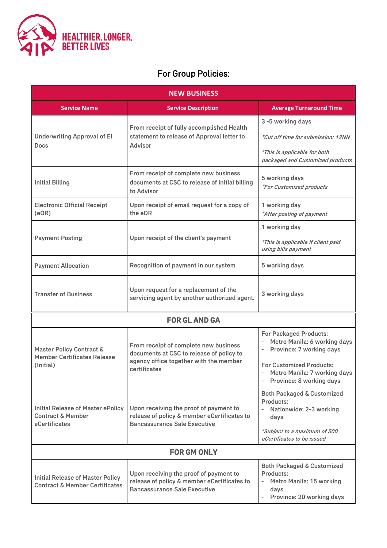

# For Group Policies:

| <b>NEW BUSINESS</b>                                                                       |                                                                                                                                             |                                                                                                                                                                                                                                                                              |  |
|-------------------------------------------------------------------------------------------|---------------------------------------------------------------------------------------------------------------------------------------------|------------------------------------------------------------------------------------------------------------------------------------------------------------------------------------------------------------------------------------------------------------------------------|--|
| <b>Service Name</b>                                                                       | <b>Service Description</b>                                                                                                                  | <b>Average Turnaround Time</b>                                                                                                                                                                                                                                               |  |
| <b>Underwriting Approval of El</b><br>Docs                                                | From receipt of fully accomplished Health<br>statement to release of Approval letter to<br><b>Advisor</b>                                   | 3 -5 working days<br>*Cut off time for submission: 12NN<br>*This is applicable for both<br>packaged and Customized products                                                                                                                                                  |  |
| <b>Initial Billing</b>                                                                    | From receipt of complete new business<br>documents at CSC to release of initial billing<br>to Advisor                                       | 5 working days<br>*For Customized products                                                                                                                                                                                                                                   |  |
| <b>Electronic Official Receipt</b><br>(eOR)                                               | Upon receipt of email request for a copy of<br>the eOR                                                                                      | 1 working day<br>*After posting of payment                                                                                                                                                                                                                                   |  |
|                                                                                           | Upon receipt of the client's payment                                                                                                        | 1 working day                                                                                                                                                                                                                                                                |  |
| <b>Payment Posting</b>                                                                    |                                                                                                                                             | *This is applicable if client paid<br>using bills payment                                                                                                                                                                                                                    |  |
| <b>Payment Allocation</b>                                                                 | Recognition of payment in our system                                                                                                        | 5 working days                                                                                                                                                                                                                                                               |  |
| <b>Transfer of Business</b>                                                               | Upon request for a replacement of the<br>servicing agent by another authorized agent.                                                       | 3 working days                                                                                                                                                                                                                                                               |  |
|                                                                                           | <b>FOR GL AND GA</b>                                                                                                                        |                                                                                                                                                                                                                                                                              |  |
| Master Policy Contract &<br><b>Member Certificates Release</b><br>(Initial)               | From receipt of complete new business<br>documents at CSC to release of policy to<br>agency office together with the member<br>certificates | <b>For Packaged Products:</b><br>Metro Manila: 6 working days<br>$\overline{\phantom{0}}$<br>Province: 7 working days<br>$\overline{\phantom{0}}$<br><b>For Customized Products:</b><br>Metro Manila: 7 working days<br>$\overline{\phantom{0}}$<br>Province: 8 working days |  |
| <b>Initial Release of Master ePolicy</b><br><b>Contract &amp; Member</b><br>eCertificates | Upon receiving the proof of payment to<br>release of policy & member eCertificates to<br><b>Bancassurance Sale Executive</b>                | <b>Both Packaged &amp; Customized</b><br><b>Products:</b><br>Nationwide: 2-3 working<br>$\overline{a}$<br>days<br>*Subject to a maximum of 500<br>eCertificates to be issued                                                                                                 |  |
| <b>FOR GM ONLY</b>                                                                        |                                                                                                                                             |                                                                                                                                                                                                                                                                              |  |
| <b>Initial Release of Master Policy</b><br><b>Contract &amp; Member Certificates</b>      | Upon receiving the proof of payment to<br>release of policy & member eCertificates to<br><b>Bancassurance Sale Executive</b>                | <b>Both Packaged &amp; Customized</b><br>Products:<br>Metro Manila: 15 working<br>days<br>Province: 20 working days<br>$\overline{\phantom{0}}$                                                                                                                              |  |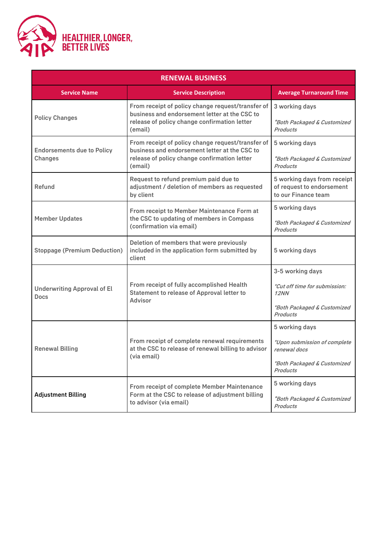

| <b>RENEWAL BUSINESS</b>                           |                                                                                                                                                               |                                                                                                           |  |
|---------------------------------------------------|---------------------------------------------------------------------------------------------------------------------------------------------------------------|-----------------------------------------------------------------------------------------------------------|--|
| <b>Service Name</b>                               | <b>Service Description</b>                                                                                                                                    | <b>Average Turnaround Time</b>                                                                            |  |
| <b>Policy Changes</b>                             | From receipt of policy change request/transfer of<br>business and endorsement letter at the CSC to<br>release of policy change confirmation letter<br>(email) | 3 working days<br>*Both Packaged & Customized<br>Products                                                 |  |
| <b>Endorsements due to Policy</b><br>Changes      | From receipt of policy change request/transfer of<br>business and endorsement letter at the CSC to<br>release of policy change confirmation letter<br>(email) | 5 working days<br>*Both Packaged & Customized<br><b>Products</b>                                          |  |
| Refund                                            | Request to refund premium paid due to<br>adjustment / deletion of members as requested<br>by client                                                           | 5 working days from receipt<br>of request to endorsement<br>to our Finance team                           |  |
| <b>Member Updates</b>                             | <b>From receipt to Member Maintenance Form at</b><br>the CSC to updating of members in Compass<br>(confirmation via email)                                    | 5 working days<br>*Both Packaged & Customized<br>Products                                                 |  |
| <b>Stoppage (Premium Deduction)</b>               | Deletion of members that were previously<br>included in the application form submitted by<br>client                                                           | 5 working days                                                                                            |  |
| <b>Underwriting Approval of El</b><br><b>Docs</b> | From receipt of fully accomplished Health<br>Statement to release of Approval letter to<br>Advisor                                                            | 3-5 working days<br>*Cut off time for submission:<br>12NN<br>*Both Packaged & Customized<br>Products      |  |
| Renewal Billing                                   | From receipt of complete renewal requirements<br>at the CSC to release of renewal billing to advisor<br>(via email)                                           | 5 working days<br>*Upon submission of complete<br>renewal docs<br>*Both Packaged & Customized<br>Products |  |
| <b>Adjustment Billing</b>                         | From receipt of complete Member Maintenance<br>Form at the CSC to release of adjustment billing<br>to advisor (via email)                                     | 5 working days<br>*Both Packaged & Customized<br><b>Products</b>                                          |  |